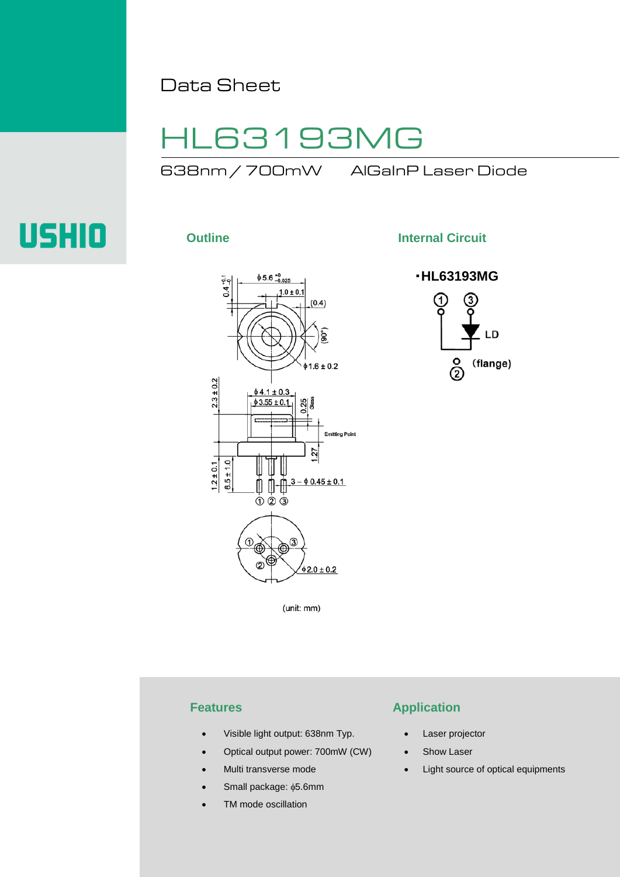Data Sheet

## HL63193MG

638nm / 700mW AlGaInP Laser Diode

# USHIO



**Outline Internal Circuit** 



(unit: mm)

- Visible light output: 638nm Typ.
- Optical output power: 700mW (CW)
- Multi transverse mode
- Small package: φ5.6mm
- TM mode oscillation

## **Features Application**

- Laser projector
- Show Laser
- Light source of optical equipments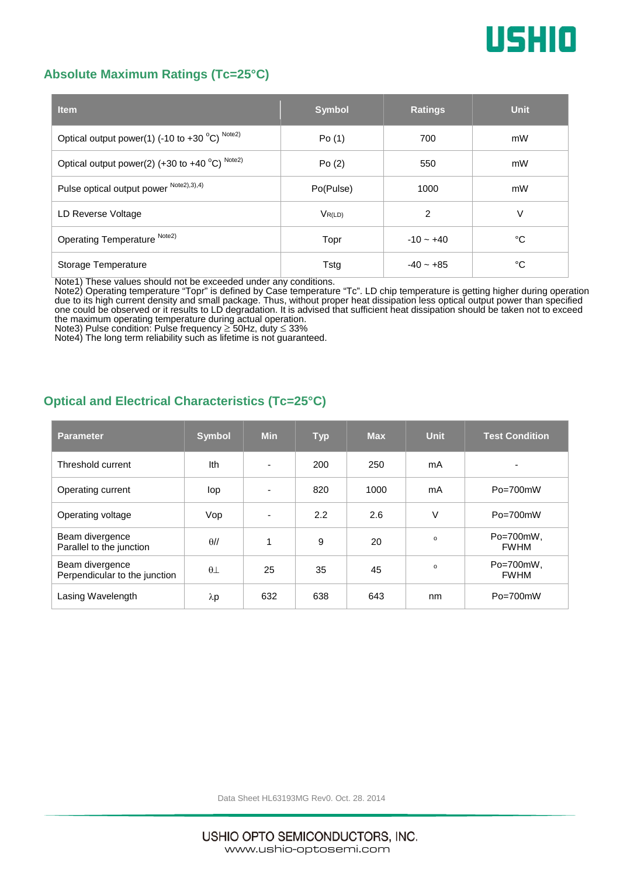

#### **Absolute Maximum Ratings (Tc=25°C)**

| <b>Item</b>                                              | <b>Symbol</b> | <b>Ratings</b> | <b>Unit</b> |
|----------------------------------------------------------|---------------|----------------|-------------|
| Optical output power(1) (-10 to +30 $^{\circ}$ C) Note2) | Po(1)         | 700            | mW          |
| Optical output power(2) (+30 to +40 $^{\circ}$ C) Note2) | Po(2)         | 550            | mW          |
| Pulse optical output power Note2),3),4)                  | Po(Pulse)     | 1000           | mW          |
| LD Reverse Voltage                                       | $V_{R(LD)}$   | 2              | V           |
| Operating Temperature Note2)                             | Topr          | $-10 - +40$    | °C          |
| Storage Temperature                                      | Tstg          | $-40 - +85$    | °C          |

Note1) These values should not be exceeded under any conditions.

Note2) Operating temperature "Topr" is defined by Case temperature "Tc". LD chip temperature is getting higher during operation due to its high current density and small package. Thus, without proper heat dissipation less optical output power than specified one could be observed or it results to LD degradation. It is advised that sufficient heat dissipation should be taken not to exceed

the maximum operating temperature during actual operation. Note3) Pulse condition: Pulse frequency ≥ 50Hz, duty ≤ 33%

Note4) The long term reliability such as lifetime is not guaranteed.

#### **Optical and Electrical Characteristics (Tc=25°C)**

| <b>Parameter</b>                                 | <b>Symbol</b> | <b>Min</b> | <b>Typ</b> | <b>Max</b> | <b>Unit</b> | <b>Test Condition</b>         |
|--------------------------------------------------|---------------|------------|------------|------------|-------------|-------------------------------|
| Threshold current                                | Ith           | ٠          | 200        | 250        | mA          | ۰                             |
| Operating current                                | lop           | ٠          | 820        | 1000       | mA          | $Po = 700$ mW                 |
| Operating voltage                                | Vop           | ۰          | 2.2        | 2.6        | $\vee$      | $Po = 700$ mW                 |
| Beam divergence<br>Parallel to the junction      | $\theta$ //   | 1          | 9          | 20         | $\circ$     | $Po = 700mW$ .<br><b>FWHM</b> |
| Beam divergence<br>Perpendicular to the junction | $\theta\perp$ | 25         | 35         | 45         | $\circ$     | Po=700mW,<br><b>FWHM</b>      |
| Lasing Wavelength                                | λp            | 632        | 638        | 643        | nm          | $Po = 700$ mW                 |

Data Sheet HL63193MG Rev0. Oct. 28. 2014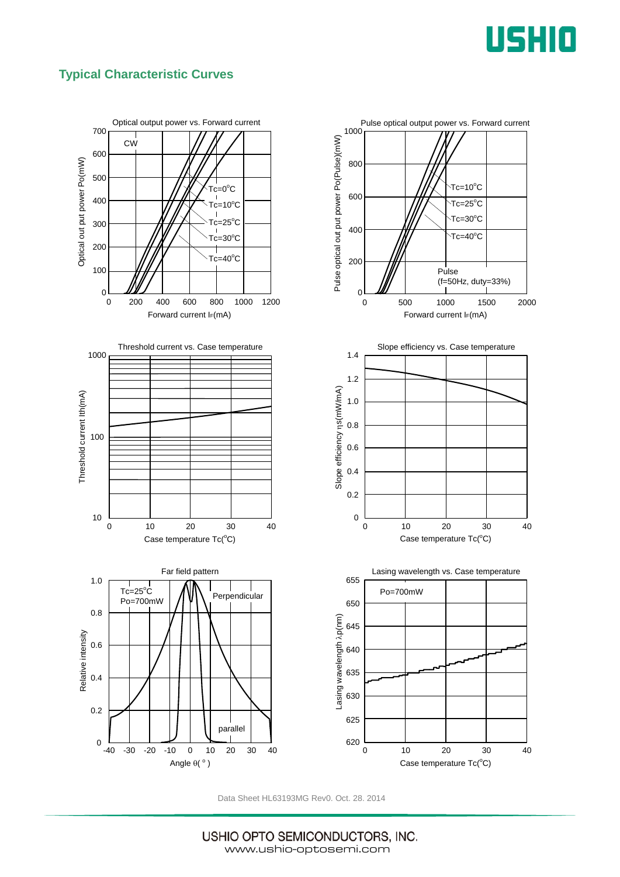

### **Typical Characteristic Curves**



Data Sheet HL63193MG Rev0. Oct. 28. 2014